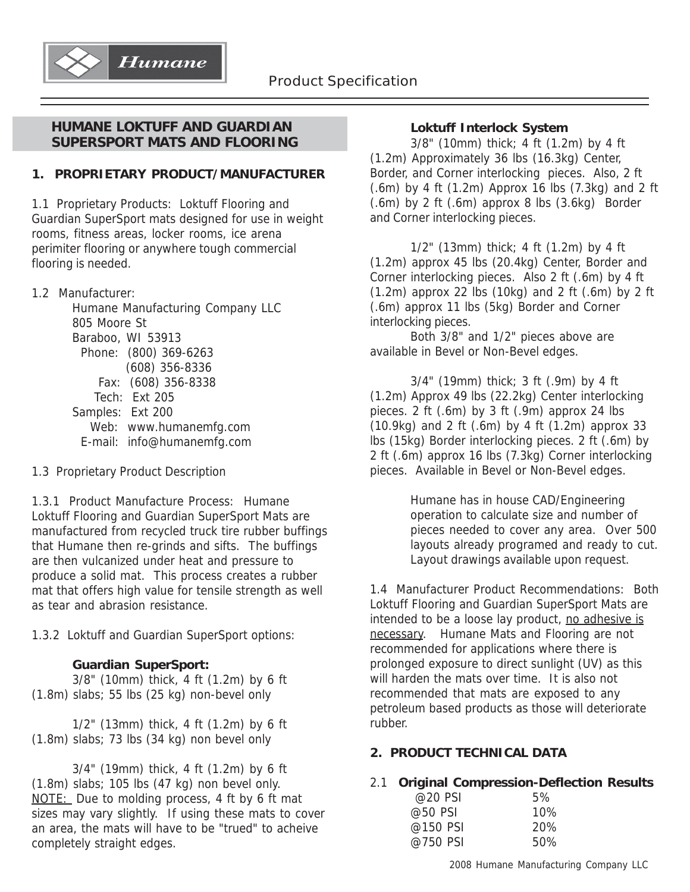#### **HUMANE LOKTUFF AND GUARDIAN SUPERSPORT MATS AND FLOORING**

**Humane** 

# **1. PROPRIETARY PRODUCT/MANUFACTURER**

1.1 Proprietary Products: Loktuff Flooring and Guardian SuperSport mats designed for use in weight rooms, fitness areas, locker rooms, ice arena perimiter flooring or anywhere tough commercial flooring is needed.

1.2 Manufacturer:

Humane Manufacturing Company LLC 805 Moore St Baraboo, WI 53913 Phone: (800) 369-6263 (608) 356-8336 Fax: (608) 356-8338 Tech: Ext 205 Samples: Ext 200 Web: www.humanemfg.com E-mail: info@humanemfg.com

1.3 Proprietary Product Description

1.3.1 Product Manufacture Process: Humane Loktuff Flooring and Guardian SuperSport Mats are manufactured from recycled truck tire rubber buffings that Humane then re-grinds and sifts. The buffings are then vulcanized under heat and pressure to produce a solid mat. This process creates a rubber mat that offers high value for tensile strength as well as tear and abrasion resistance.

1.3.2 Loktuff and Guardian SuperSport options:

### **Guardian SuperSport:**

3/8" (10mm) thick, 4 ft (1.2m) by 6 ft (1.8m) slabs; 55 lbs (25 kg) non-bevel only

1/2" (13mm) thick, 4 ft (1.2m) by 6 ft (1.8m) slabs; 73 lbs (34 kg) non bevel only

3/4" (19mm) thick, 4 ft (1.2m) by 6 ft (1.8m) slabs; 105 lbs (47 kg) non bevel only. NOTE: Due to molding process, 4 ft by 6 ft mat sizes may vary slightly. If using these mats to cover an area, the mats will have to be "trued" to acheive completely straight edges.

#### **Loktuff Interlock System**

3/8" (10mm) thick; 4 ft (1.2m) by 4 ft (1.2m) Approximately 36 lbs (16.3kg) Center, Border, and Corner interlocking pieces. Also, 2 ft (.6m) by 4 ft (1.2m) Approx 16 lbs (7.3kg) and 2 ft (.6m) by 2 ft (.6m) approx 8 lbs (3.6kg) Border and Corner interlocking pieces.

1/2" (13mm) thick; 4 ft (1.2m) by 4 ft (1.2m) approx 45 lbs (20.4kg) Center, Border and Corner interlocking pieces. Also 2 ft (.6m) by 4 ft  $(1.2m)$  approx 22 lbs  $(10kg)$  and 2 ft  $(.6m)$  by 2 ft (.6m) approx 11 lbs (5kg) Border and Corner interlocking pieces.

Both 3/8" and 1/2" pieces above are available in Bevel or Non-Bevel edges.

3/4" (19mm) thick; 3 ft (.9m) by 4 ft (1.2m) Approx 49 lbs (22.2kg) Center interlocking pieces. 2 ft (.6m) by 3 ft (.9m) approx 24 lbs (10.9kg) and 2 ft (.6m) by 4 ft (1.2m) approx 33 lbs (15kg) Border interlocking pieces. 2 ft (.6m) by 2 ft (.6m) approx 16 lbs (7.3kg) Corner interlocking pieces. Available in Bevel or Non-Bevel edges.

> Humane has in house CAD/Engineering operation to calculate size and number of pieces needed to cover any area. Over 500 layouts already programed and ready to cut. Layout drawings available upon request.

1.4 Manufacturer Product Recommendations: Both Loktuff Flooring and Guardian SuperSport Mats are intended to be a loose lay product, no adhesive is necessary. Humane Mats and Flooring are not recommended for applications where there is prolonged exposure to direct sunlight (UV) as this will harden the mats over time. It is also not recommended that mats are exposed to any petroleum based products as those will deteriorate rubber.

# **2. PRODUCT TECHNICAL DATA**

#### 2.1 **Original Compression-Deflection Results**

| @20 PSI  | 5%  |
|----------|-----|
| @50 PSI  | 10% |
| @150 PSI | 20% |
| @750 PSI | 50% |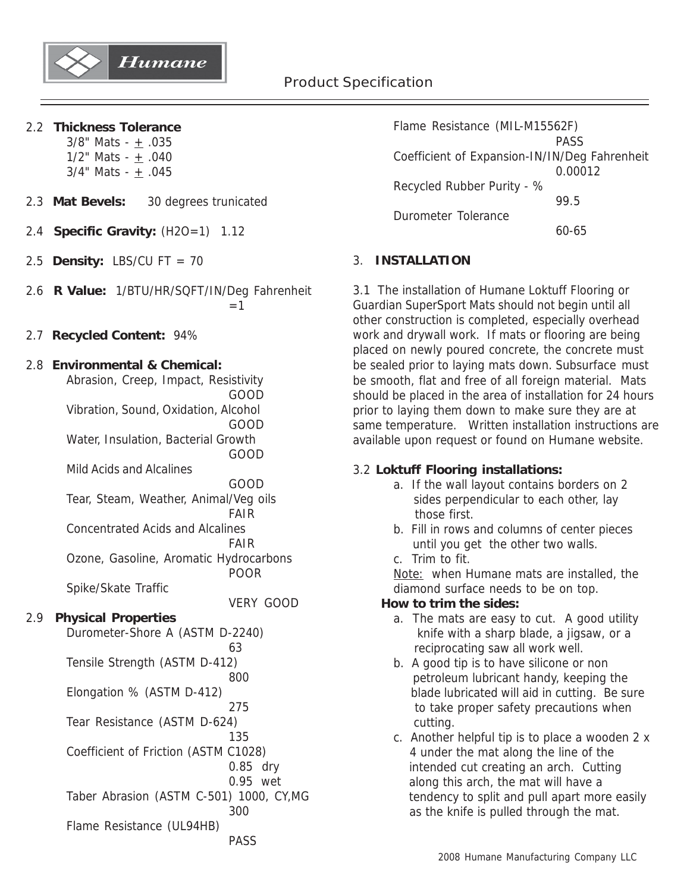

2.2 **Thickness Tolerance**

3/8" Mats -  $\pm$  .035 1/2" Mats -  $+ .040$ 3/4" Mats -  $+ .045$ 

- 2.3 **Mat Bevels:** 30 degrees trunicated
- 2.4 **Specific Gravity:** (H2O=1) 1.12
- 2.5 **Density:** LBS/CU FT = 70
- 2.6 **R Value:** 1/BTU/HR/SQFT/IN/Deg Fahrenheit  $=1$
- 2.7 **Recycled Content:** 94%
- 2.8 **Environmental & Chemical:**

Abrasion, Creep, Impact, Resistivity GOOD Vibration, Sound, Oxidation, Alcohol GOOD Water, Insulation, Bacterial Growth GOOD Mild Acids and Alcalines

GOOD

Tear, Steam, Weather, Animal/Veg oils FAIR

Concentrated Acids and Alcalines FAIR Ozone, Gasoline, Aromatic Hydrocarbons POOR

Spike/Skate Traffic

# VERY GOOD

PASS

- 2.9 **Physical Properties**
	- Durometer-Shore A (ASTM D-2240) 63 Tensile Strength (ASTM D-412) 800 Elongation % (ASTM D-412) 275 Tear Resistance (ASTM D-624) 135 Coefficient of Friction (ASTM C1028) 0.85 dry 0.95 wet Taber Abrasion (ASTM C-501) 1000, CY,MG 300

Flame Resistance (UL94HB)

Flame Resistance (MIL-M15562F) PASS Coefficient of Expansion-IN/IN/Deg Fahrenheit 0.00012 Recycled Rubber Purity - % 99.5 Durometer Tolerance 60-65

# 3. **INSTALLATION**

3.1 The installation of Humane Loktuff Flooring or Guardian SuperSport Mats should not begin until all other construction is completed, especially overhead work and drywall work. If mats or flooring are being placed on newly poured concrete, the concrete must be sealed prior to laying mats down. Subsurface must be smooth, flat and free of all foreign material. Mats should be placed in the area of installation for 24 hours prior to laying them down to make sure they are at same temperature. Written installation instructions are available upon request or found on Humane website.

### 3.2 **Loktuff Flooring installations:**

- a. If the wall layout contains borders on 2 sides perpendicular to each other, lay those first.
- b. Fill in rows and columns of center pieces until you get the other two walls.
- c. Trim to fit.

Note: when Humane mats are installed, the diamond surface needs to be on top.

### **How to trim the sides:**

- a. The mats are easy to cut. A good utility knife with a sharp blade, a jigsaw, or a reciprocating saw all work well.
- b. A good tip is to have silicone or non petroleum lubricant handy, keeping the blade lubricated will aid in cutting. Be sure to take proper safety precautions when cutting.
- c. Another helpful tip is to place a wooden 2 x 4 under the mat along the line of the intended cut creating an arch. Cutting along this arch, the mat will have a tendency to split and pull apart more easily as the knife is pulled through the mat.